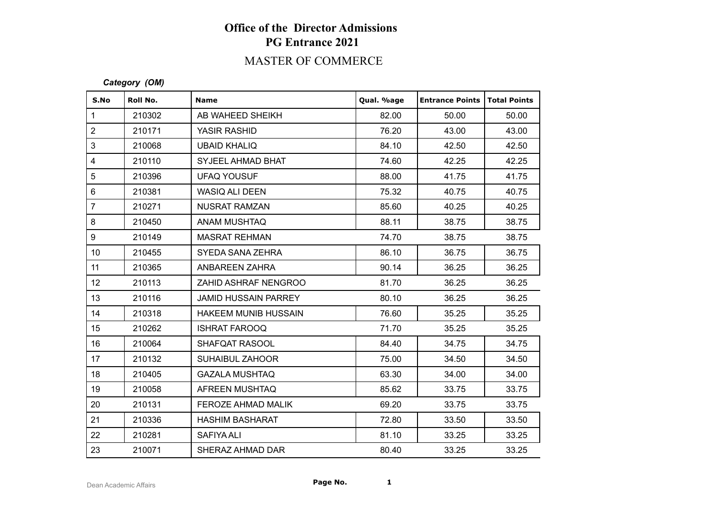## MASTER OF COMMERCE

#### *Category (OM)*

| S.No             | Roll No. | <b>Name</b>                 | Qual. %age | <b>Entrance Points</b> | Total Points |
|------------------|----------|-----------------------------|------------|------------------------|--------------|
| $\mathbf{1}$     | 210302   | AB WAHEED SHEIKH            | 82.00      | 50.00                  | 50.00        |
| $\overline{2}$   | 210171   | YASIR RASHID                | 76.20      | 43.00                  | 43.00        |
| $\mathfrak{S}$   | 210068   | <b>UBAID KHALIQ</b>         | 84.10      | 42.50                  | 42.50        |
| $\overline{4}$   | 210110   | SYJEEL AHMAD BHAT           | 74.60      | 42.25                  | 42.25        |
| $\sqrt{5}$       | 210396   | UFAQ YOUSUF                 | 88.00      | 41.75                  | 41.75        |
| $\,6\,$          | 210381   | WASIQ ALI DEEN              | 75.32      | 40.75                  | 40.75        |
| $\overline{7}$   | 210271   | NUSRAT RAMZAN               | 85.60      | 40.25                  | 40.25        |
| $\bf 8$          | 210450   | ANAM MUSHTAQ                | 88.11      | 38.75                  | 38.75        |
| $\boldsymbol{9}$ | 210149   | <b>MASRAT REHMAN</b>        | 74.70      | 38.75                  | 38.75        |
| 10 <sup>°</sup>  | 210455   | SYEDA SANA ZEHRA            | 86.10      | 36.75                  | 36.75        |
| 11               | 210365   | ANBAREEN ZAHRA              | 90.14      | 36.25                  | 36.25        |
| 12               | 210113   | ZAHID ASHRAF NENGROO        | 81.70      | 36.25                  | 36.25        |
| 13               | 210116   | <b>JAMID HUSSAIN PARREY</b> | 80.10      | 36.25                  | 36.25        |
| 14               | 210318   | HAKEEM MUNIB HUSSAIN        | 76.60      | 35.25                  | 35.25        |
| 15 <sub>15</sub> | 210262   | <b>ISHRAT FAROOQ</b>        | 71.70      | 35.25                  | 35.25        |
| 16               | 210064   | SHAFQAT RASOOL              | 84.40      | 34.75                  | 34.75        |
| 17               | 210132   | <b>SUHAIBUL ZAHOOR</b>      | 75.00      | 34.50                  | 34.50        |
| 18               | 210405   | <b>GAZALA MUSHTAQ</b>       | 63.30      | 34.00                  | 34.00        |
| 19               | 210058   | AFREEN MUSHTAQ              | 85.62      | 33.75                  | 33.75        |
| 20               | 210131   | FEROZE AHMAD MALIK          | 69.20      | 33.75                  | 33.75        |
| 21               | 210336   | <b>HASHIM BASHARAT</b>      | 72.80      | 33.50                  | 33.50        |
| 22               | 210281   | SAFIYA ALI                  | 81.10      | 33.25                  | 33.25        |
| 23               | 210071   | SHERAZ AHMAD DAR            | 80.40      | 33.25                  | 33.25        |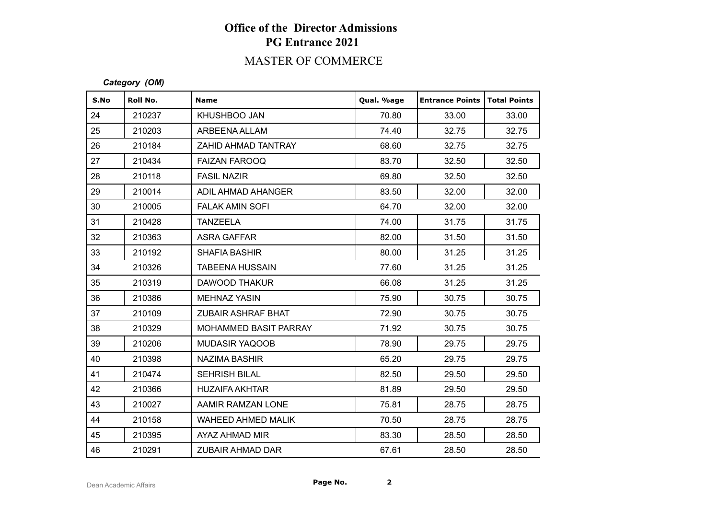## MASTER OF COMMERCE

#### *Category (OM)*

| S.No | Roll No. | <b>Name</b>               | Qual. %age | <b>Entrance Points</b> | Total Points |
|------|----------|---------------------------|------------|------------------------|--------------|
| 24   | 210237   | KHUSHBOO JAN              | 70.80      | 33.00                  | 33.00        |
| 25   | 210203   | ARBEENA ALLAM             | 74.40      | 32.75                  | 32.75        |
| 26   | 210184   | ZAHID AHMAD TANTRAY       | 68.60      | 32.75                  | 32.75        |
| 27   | 210434   | <b>FAIZAN FAROOQ</b>      | 83.70      | 32.50                  | 32.50        |
| 28   | 210118   | <b>FASIL NAZIR</b>        | 69.80      | 32.50                  | 32.50        |
| 29   | 210014   | ADIL AHMAD AHANGER        | 83.50      | 32.00                  | 32.00        |
| 30   | 210005   | <b>FALAK AMIN SOFI</b>    | 64.70      | 32.00                  | 32.00        |
| 31   | 210428   | <b>TANZEELA</b>           | 74.00      | 31.75                  | 31.75        |
| 32   | 210363   | <b>ASRA GAFFAR</b>        | 82.00      | 31.50                  | 31.50        |
| 33   | 210192   | <b>SHAFIA BASHIR</b>      | 80.00      | 31.25                  | 31.25        |
| 34   | 210326   | <b>TABEENA HUSSAIN</b>    | 77.60      | 31.25                  | 31.25        |
| 35   | 210319   | DAWOOD THAKUR             | 66.08      | 31.25                  | 31.25        |
| 36   | 210386   | <b>MEHNAZ YASIN</b>       | 75.90      | 30.75                  | 30.75        |
| 37   | 210109   | ZUBAIR ASHRAF BHAT        | 72.90      | 30.75                  | 30.75        |
| 38   | 210329   | MOHAMMED BASIT PARRAY     | 71.92      | 30.75                  | 30.75        |
| 39   | 210206   | <b>MUDASIR YAQOOB</b>     | 78.90      | 29.75                  | 29.75        |
| 40   | 210398   | <b>NAZIMA BASHIR</b>      | 65.20      | 29.75                  | 29.75        |
| 41   | 210474   | <b>SEHRISH BILAL</b>      | 82.50      | 29.50                  | 29.50        |
| 42   | 210366   | <b>HUZAIFA AKHTAR</b>     | 81.89      | 29.50                  | 29.50        |
| 43   | 210027   | AAMIR RAMZAN LONE         | 75.81      | 28.75                  | 28.75        |
| 44   | 210158   | <b>WAHEED AHMED MALIK</b> | 70.50      | 28.75                  | 28.75        |
| 45   | 210395   | AYAZ AHMAD MIR            | 83.30      | 28.50                  | 28.50        |
| 46   | 210291   | ZUBAIR AHMAD DAR          | 67.61      | 28.50                  | 28.50        |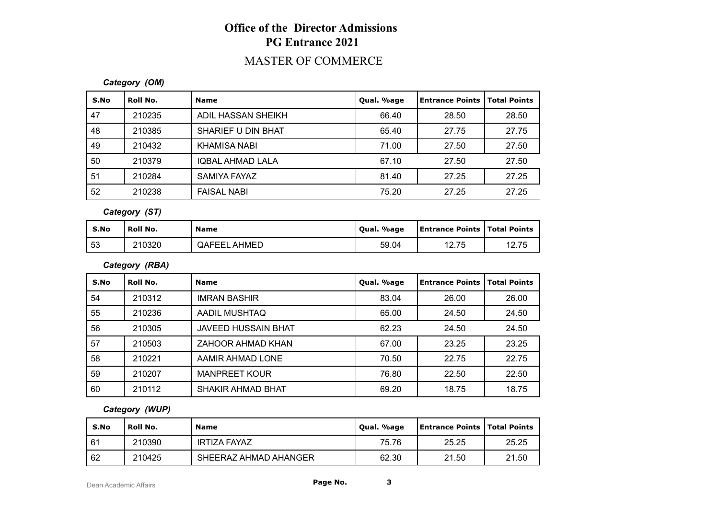### MASTER OF COMMERCE

#### *Category (OM)*

| S.No | Roll No. | <b>Name</b>             | Qual. %age | Entrance Points | Total Points |
|------|----------|-------------------------|------------|-----------------|--------------|
| 47   | 210235   | ADIL HASSAN SHEIKH      | 66.40      | 28.50           | 28.50        |
| 48   | 210385   | SHARIEF U DIN BHAT      | 65.40      | 27.75           | 27.75        |
| 49   | 210432   | KHAMISA NABI            | 71.00      | 27.50           | 27.50        |
| 50   | 210379   | <b>IOBAL AHMAD LALA</b> | 67.10      | 27.50           | 27.50        |
| 51   | 210284   | SAMIYA FAYAZ            | 81.40      | 27.25           | 27.25        |
| 52   | 210238   | <b>FAISAL NABI</b>      | 75.20      | 27.25           | 27.25        |

*Category (ST)*

| S.No | ' Roll No. | <b>Name</b>         | Qual. %age | <b>Entrance Points   Total Points</b> |       |
|------|------------|---------------------|------------|---------------------------------------|-------|
| l 53 | 210320     | <b>QAFEEL AHMED</b> | 59.04      | 12.75                                 | 12.75 |

*Category (RBA)*

| S.No | Roll No. | <b>Name</b>                | Qual. %age | <b>Entrance Points</b> | <b>Total Points</b> |
|------|----------|----------------------------|------------|------------------------|---------------------|
| 54   | 210312   | <b>IMRAN BASHIR</b>        | 83.04      | 26.00                  | 26.00               |
| 55   | 210236   | AADIL MUSHTAQ              | 65.00      | 24.50                  | 24.50               |
| 56   | 210305   | <b>JAVEED HUSSAIN BHAT</b> | 62.23      | 24.50                  | 24.50               |
| 57   | 210503   | ZAHOOR AHMAD KHAN          | 67.00      | 23.25                  | 23.25               |
| 58   | 210221   | AAMIR AHMAD LONE           | 70.50      | 22.75                  | 22.75               |
| 59   | 210207   | <b>MANPREET KOUR</b>       | 76.80      | 22.50                  | 22.50               |
| 60   | 210112   | SHAKIR AHMAD BHAT          | 69.20      | 18.75                  | 18.75               |

*Category (WUP)*

| S.No | Roll No. | <b>Name</b>           | Qual. %age | <b>Entrance Points   Total Points</b> |       |
|------|----------|-----------------------|------------|---------------------------------------|-------|
| 61   | 210390   | IRTIZA FAYAZ          | 75.76      | 25.25                                 | 25.25 |
| 62   | 210425   | SHEERAZ AHMAD AHANGER | 62.30      | 21.50                                 | 21.50 |